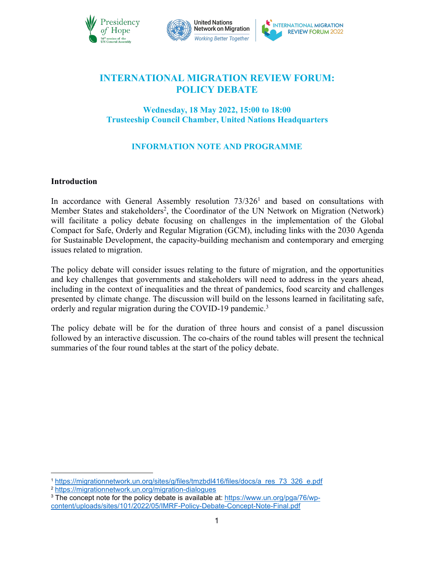



# **INTERNATIONAL MIGRATION REVIEW FORUM: POLICY DEBATE**

## **Wednesday, 18 May 2022, 15:00 to 18:00 Trusteeship Council Chamber, United Nations Headquarters**

## **INFORMATION NOTE AND PROGRAMME**

#### **Introduction**

In accordance with General Assembly resolution  $73/326<sup>1</sup>$  $73/326<sup>1</sup>$  $73/326<sup>1</sup>$  and based on consultations with Member States and stakeholders [2](#page-0-1) , the Coordinator of the UN Network on Migration (Network) will facilitate a policy debate focusing on challenges in the implementation of the Global Compact for Safe, Orderly and Regular Migration (GCM), including links with the 2030 Agenda for Sustainable Development, the capacity-building mechanism and contemporary and emerging issues related to migration.

The policy debate will consider issues relating to the future of migration, and the opportunities and key challenges that governments and stakeholders will need to address in the years ahead, including in the context of inequalities and the threat of pandemics, food scarcity and challenges presented by climate change. The discussion will build on the lessons learned in facilitating safe, orderly and regular migration during the COVID-19 pandemic.[3](#page-0-2)

The policy debate will be for the duration of three hours and consist of a panel discussion followed by an interactive discussion. The co-chairs of the round tables will present the technical summaries of the four round tables at the start of the policy debate.

<span id="page-0-0"></span><sup>1</sup> [https://migrationnetwork.un.org/sites/g/files/tmzbdl416/files/docs/a\\_res\\_73\\_326\\_e.pdf](https://migrationnetwork.un.org/sites/g/files/tmzbdl416/files/docs/a_res_73_326_e.pdf)

<span id="page-0-1"></span><sup>2</sup> <https://migrationnetwork.un.org/migration-dialogues>

<span id="page-0-2"></span> $3$  The concept note for the policy debate is available at: [https://www.un.org/pga/76/wp](https://www.un.org/pga/76/wp-content/uploads/sites/101/2022/05/IMRF-Policy-Debate-Concept-Note-Final.pdf) content/uploads/sites/101/2022/05/IMRF-Policy-Debate-Concept-Note-Final.pdf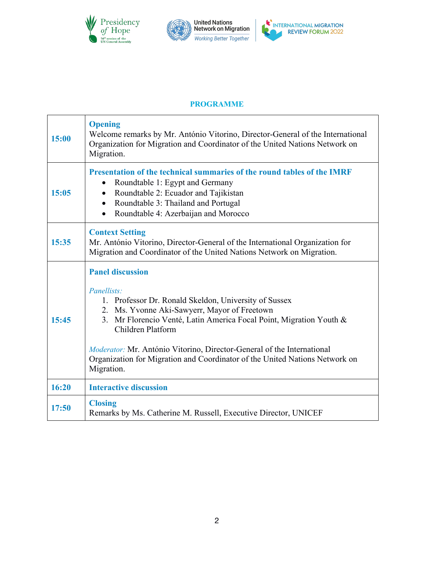

#### **PROGRAMME**

| 15:00 | <b>Opening</b><br>Welcome remarks by Mr. António Vitorino, Director-General of the International<br>Organization for Migration and Coordinator of the United Nations Network on<br>Migration.                                                                                                                                                                                                                      |
|-------|--------------------------------------------------------------------------------------------------------------------------------------------------------------------------------------------------------------------------------------------------------------------------------------------------------------------------------------------------------------------------------------------------------------------|
| 15:05 | Presentation of the technical summaries of the round tables of the IMRF<br>Roundtable 1: Egypt and Germany<br>Roundtable 2: Ecuador and Tajikistan<br>Roundtable 3: Thailand and Portugal<br>Roundtable 4: Azerbaijan and Morocco                                                                                                                                                                                  |
| 15:35 | <b>Context Setting</b><br>Mr. António Vitorino, Director-General of the International Organization for<br>Migration and Coordinator of the United Nations Network on Migration.                                                                                                                                                                                                                                    |
| 15:45 | <b>Panel discussion</b><br>Panellists:<br>1. Professor Dr. Ronald Skeldon, University of Sussex<br>2. Ms. Yvonne Aki-Sawyerr, Mayor of Freetown<br>3. Mr Florencio Venté, Latin America Focal Point, Migration Youth &<br>Children Platform<br>Moderator: Mr. António Vitorino, Director-General of the International<br>Organization for Migration and Coordinator of the United Nations Network on<br>Migration. |
| 16:20 | <b>Interactive discussion</b>                                                                                                                                                                                                                                                                                                                                                                                      |
| 17:50 | <b>Closing</b><br>Remarks by Ms. Catherine M. Russell, Executive Director, UNICEF                                                                                                                                                                                                                                                                                                                                  |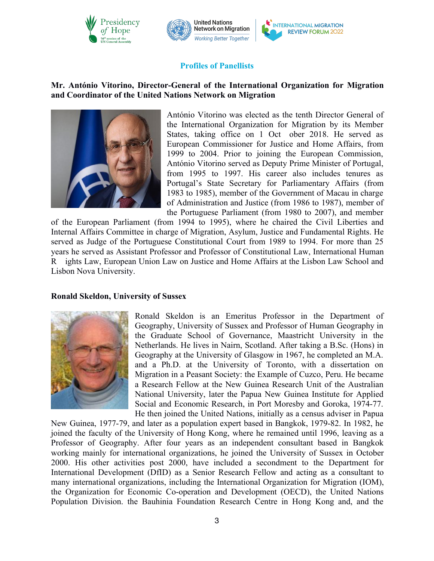



#### **Profiles of Panellists**

#### **Mr. António Vitorino, Director-General of the International Organization for Migration and Coordinator of the United Nations Network on Migration**



António Vitorino was elected as the tenth Director General of the International Organization for Migration by its Member States, taking office on 1 Oct ober 2018. He served as European Commissioner for Justice and Home Affairs, from 1999 to 2004. Prior to joining the European Commission, António Vitorino served as Deputy Prime Minister of Portugal, from 1995 to 1997. His career also includes tenures as Portugal's State Secretary for Parliamentary Affairs (from 1983 to 1985), member of the Government of Macau in charge of Administration and Justice (from 1986 to 1987), member of the Portuguese Parliament (from 1980 to 2007), and member

of the European Parliament (from 1994 to 1995), where he chaired the Civil Liberties and Internal Affairs Committee in charge of Migration, Asylum, Justice and Fundamental Rights. He served as Judge of the Portuguese Constitutional Court from 1989 to 1994. For more than 25 years he served as Assistant Professor and Professor of Constitutional Law, International Human R ights Law, European Union Law on Justice and Home Affairs at the Lisbon Law School and Lisbon Nova University.

#### **Ronald Skeldon, University of Sussex**



Ronald Skeldon is an Emeritus Professor in the Department of Geography, University of Sussex and Professor of Human Geography in the Graduate School of Governance, Maastricht University in the Netherlands. He lives in Nairn, Scotland. After taking a B.Sc. (Hons) in Geography at the University of Glasgow in 1967, he completed an M.A. and a Ph.D. at the University of Toronto, with a dissertation on Migration in a Peasant Society: the Example of Cuzco, Peru. He became a Research Fellow at the New Guinea Research Unit of the Australian National University, later the Papua New Guinea Institute for Applied Social and Economic Research, in Port Moresby and Goroka, 1974-77. He then joined the United Nations, initially as a census adviser in Papua

New Guinea, 1977-79, and later as a population expert based in Bangkok, 1979-82. In 1982, he joined the faculty of the University of Hong Kong, where he remained until 1996, leaving as a Professor of Geography. After four years as an independent consultant based in Bangkok working mainly for international organizations, he joined the University of Sussex in October 2000. His other activities post 2000, have included a secondment to the Department for International Development (DfID) as a Senior Research Fellow and acting as a consultant to many international organizations, including the International Organization for Migration (IOM), the Organization for Economic Co-operation and Development (OECD), the United Nations Population Division. the Bauhinia Foundation Research Centre in Hong Kong and, and the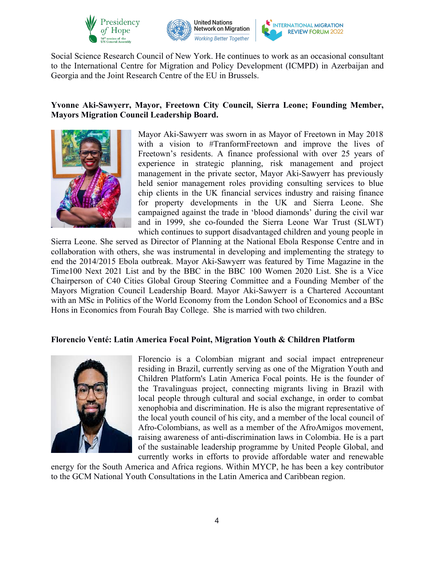





Social Science Research Council of New York. He continues to work as an occasional consultant to the International Centre for Migration and Policy Development (ICMPD) in Azerbaijan and Georgia and the Joint Research Centre of the EU in Brussels.

## **Yvonne Aki-Sawyerr, Mayor, Freetown City Council, Sierra Leone; Founding Member, Mayors Migration Council Leadership Board.**



Mayor Aki-Sawyerr was sworn in as Mayor of Freetown in May 2018 with a vision to #TranformFreetown and improve the lives of Freetown's residents. A finance professional with over 25 years of experience in strategic planning, risk management and project management in the private sector, Mayor Aki-Sawyerr has previously held senior management roles providing consulting services to blue chip clients in the UK financial services industry and raising finance for property developments in the UK and Sierra Leone. She campaigned against the trade in 'blood diamonds' during the civil war and in 1999, she co-founded the Sierra Leone War Trust (SLWT) which continues to support disadvantaged children and young people in

Sierra Leone. She served as Director of Planning at the National Ebola Response Centre and in collaboration with others, she was instrumental in developing and implementing the strategy to end the 2014/2015 Ebola outbreak. Mayor Aki-Sawyerr was featured by Time Magazine in the Time100 Next 2021 List and by the BBC in the BBC 100 Women 2020 List. She is a Vice Chairperson of C40 Cities Global Group Steering Committee and a Founding Member of the Mayors Migration Council Leadership Board. Mayor Aki-Sawyerr is a Chartered Accountant with an MSc in Politics of the World Economy from the London School of Economics and a BSc Hons in Economics from Fourah Bay College. She is married with two children.

## **Florencio Venté: Latin America Focal Point, Migration Youth & Children Platform**



Florencio is a Colombian migrant and social impact entrepreneur residing in Brazil, currently serving as one of the Migration Youth and Children Platform's Latin America Focal points. He is the founder of the Travalinguas project, connecting migrants living in Brazil with local people through cultural and social exchange, in order to combat xenophobia and discrimination. He is also the migrant representative of the local youth council of his city, and a member of the local council of Afro-Colombians, as well as a member of the AfroAmigos movement, raising awareness of anti-discrimination lawsin Colombia. He is a part of the sustainable leadership programme by United People Global, and currently works in efforts to provide affordable water and renewable

energy for the South America and Africa regions. Within MYCP, he has been a key contributor to the GCM National Youth Consultations in the Latin America and Caribbean region.